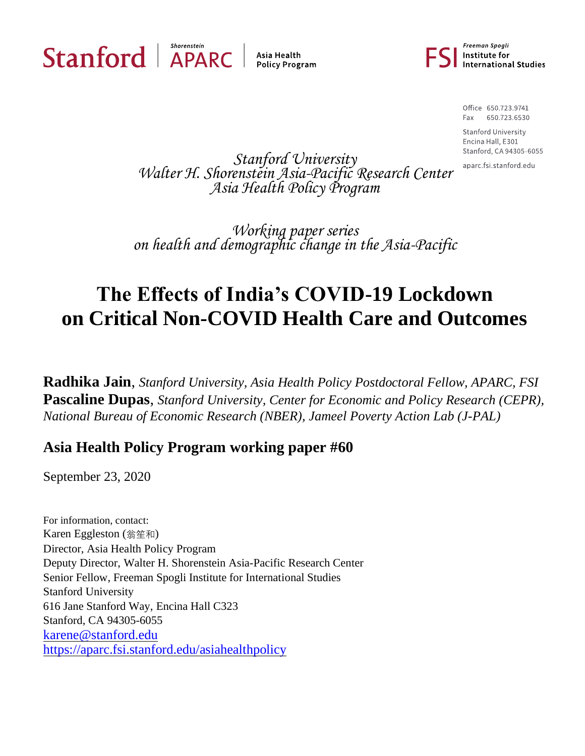

Asia Health **Policy Program** 



Office 650.723.9741 Fax 650.723.6530

**Stanford University** Encina Hall, E301 Stanford, CA 94305-6055

aparc.fsi.stanford.edu

*Stanford University Walter H. Shorenstein Asia-Pacific Research Center Asia Health Policy Program*

*Working paper series on health and demographic change in the Asia-Pacific*

# **The Effects of India's COVID-19 Lockdown on Critical Non-COVID Health Care and Outcomes**

**Radhika Jain**, *Stanford University, Asia Health Policy Postdoctoral Fellow, APARC, FSI* **Pascaline Dupas**, *Stanford University, Center for Economic and Policy Research (CEPR), National Bureau of Economic Research (NBER), Jameel Poverty Action Lab (J-PAL)*

## **Asia Health Policy Program working paper #60**

September 23, 2020

For information, contact: Karen Eggleston (翁笙和) Director, Asia Health Policy Program Deputy Director, Walter H. Shorenstein Asia-Pacific Research Center Senior Fellow, Freeman Spogli Institute for International Studies Stanford University 616 Jane Stanford Way, Encina Hall C323 Stanford, CA 94305-6055 [karene@stanford.edu](mailto:karene@stanford.edu) <https://aparc.fsi.stanford.edu/asiahealthpolicy>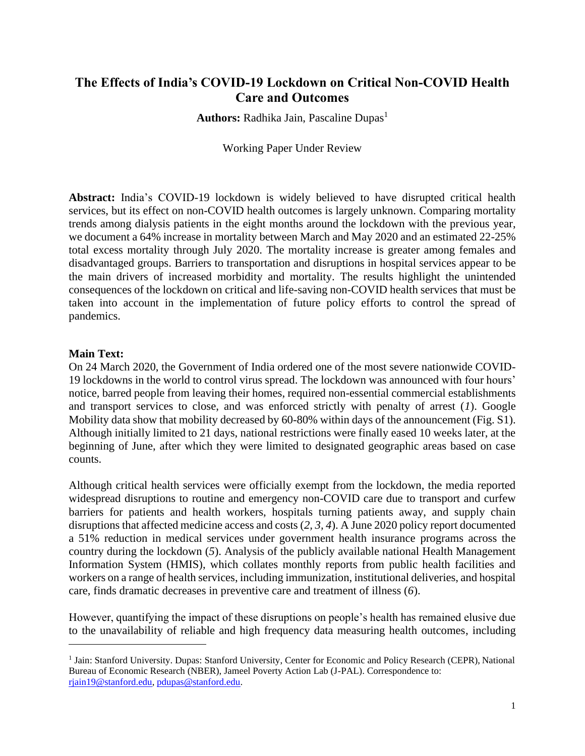## **The Effects of India's COVID-19 Lockdown on Critical Non-COVID Health Care and Outcomes**

**Authors:** Radhika Jain, Pascaline Dupas<sup>1</sup>

Working Paper Under Review

**Abstract:** India's COVID-19 lockdown is widely believed to have disrupted critical health services, but its effect on non-COVID health outcomes is largely unknown. Comparing mortality trends among dialysis patients in the eight months around the lockdown with the previous year, we document a 64% increase in mortality between March and May 2020 and an estimated 22-25% total excess mortality through July 2020. The mortality increase is greater among females and disadvantaged groups. Barriers to transportation and disruptions in hospital services appear to be the main drivers of increased morbidity and mortality. The results highlight the unintended consequences of the lockdown on critical and life-saving non-COVID health services that must be taken into account in the implementation of future policy efforts to control the spread of pandemics.

## **Main Text:**

On 24 March 2020, the Government of India ordered one of the most severe nationwide COVID-19 lockdowns in the world to control virus spread. The lockdown was announced with four hours' notice, barred people from leaving their homes, required non-essential commercial establishments and transport services to close, and was enforced strictly with penalty of arrest (*1*). Google Mobility data show that mobility decreased by 60-80% within days of the announcement (Fig. S1). Although initially limited to 21 days, national restrictions were finally eased 10 weeks later, at the beginning of June, after which they were limited to designated geographic areas based on case counts.

Although critical health services were officially exempt from the lockdown, the media reported widespread disruptions to routine and emergency non-COVID care due to transport and curfew barriers for patients and health workers, hospitals turning patients away, and supply chain disruptions that affected medicine access and costs (*2, 3, 4*). A June 2020 policy report documented a 51% reduction in medical services under government health insurance programs across the country during the lockdown (*5*). Analysis of the publicly available national Health Management Information System (HMIS), which collates monthly reports from public health facilities and workers on a range of health services, including immunization, institutional deliveries, and hospital care, finds dramatic decreases in preventive care and treatment of illness (*6*).

However, quantifying the impact of these disruptions on people's health has remained elusive due to the unavailability of reliable and high frequency data measuring health outcomes, including

<sup>&</sup>lt;sup>1</sup> Jain: Stanford University. Dupas: Stanford University, Center for Economic and Policy Research (CEPR), National Bureau of Economic Research (NBER), Jameel Poverty Action Lab (J-PAL). Correspondence to: [rjain19@stanford.edu,](mailto:rjain19@stanford.edu) [pdupas@stanford.edu.](mailto:pdupas@stanford.edu)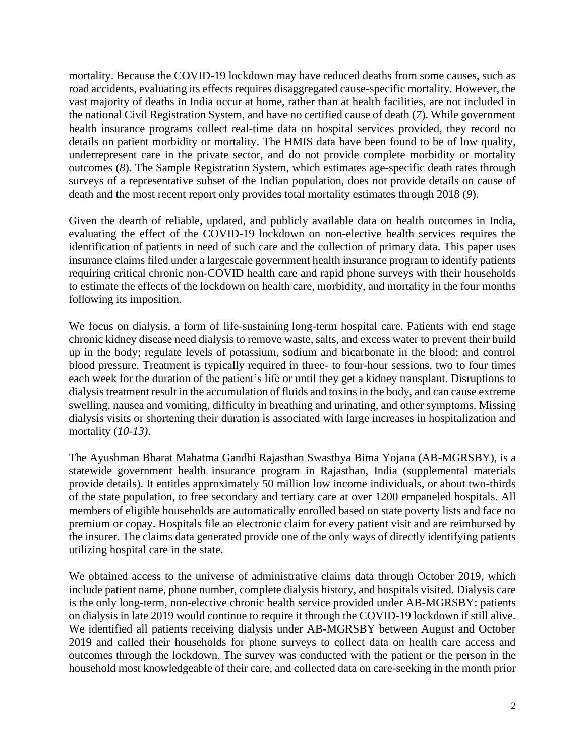mortality. Because the COVID-19 lockdown may have reduced deaths from some causes, such as road accidents, evaluating its effects requires disaggregated cause-specific mortality. However, the vast majority of deaths in India occur at home, rather than at health facilities, are not included in the national Civil Registration System, and have no certified cause of death (*7*). While government health insurance programs collect real-time data on hospital services provided, they record no details on patient morbidity or mortality. The HMIS data have been found to be of low quality, underrepresent care in the private sector, and do not provide complete morbidity or mortality outcomes (*8*). The Sample Registration System, which estimates age-specific death rates through surveys of a representative subset of the Indian population, does not provide details on cause of death and the most recent report only provides total mortality estimates through 2018 (*9*).

Given the dearth of reliable, updated, and publicly available data on health outcomes in India, evaluating the effect of the COVID-19 lockdown on non-elective health services requires the identification of patients in need of such care and the collection of primary data. This paper uses insurance claims filed under a largescale government health insurance program to identify patients requiring critical chronic non-COVID health care and rapid phone surveys with their households to estimate the effects of the lockdown on health care, morbidity, and mortality in the four months following its imposition.

We focus on dialysis, a form of life-sustaining long-term hospital care. Patients with end stage chronic kidney disease need dialysis to remove waste, salts, and excess water to prevent their build up in the body; regulate levels of potassium, sodium and bicarbonate in the blood; and control blood pressure. Treatment is typically required in three- to four-hour sessions, two to four times each week for the duration of the patient's life or until they get a kidney transplant. Disruptions to dialysis treatment result in the accumulation of fluids and toxins in the body, and can cause extreme swelling, nausea and vomiting, difficulty in breathing and urinating, and other symptoms. Missing dialysis visits or shortening their duration is associated with large increases in hospitalization and mortality (*10-13)*.

The Ayushman Bharat Mahatma Gandhi Rajasthan Swasthya Bima Yojana (AB-MGRSBY), is a statewide government health insurance program in Rajasthan, India (supplemental materials provide details). It entitles approximately 50 million low income individuals, or about two-thirds of the state population, to free secondary and tertiary care at over 1200 empaneled hospitals. All members of eligible households are automatically enrolled based on state poverty lists and face no premium or copay. Hospitals file an electronic claim for every patient visit and are reimbursed by the insurer. The claims data generated provide one of the only ways of directly identifying patients utilizing hospital care in the state.

We obtained access to the universe of administrative claims data through October 2019, which include patient name, phone number, complete dialysis history, and hospitals visited. Dialysis care is the only long-term, non-elective chronic health service provided under AB-MGRSBY: patients on dialysis in late 2019 would continue to require it through the COVID-19 lockdown if still alive. We identified all patients receiving dialysis under AB-MGRSBY between August and October 2019 and called their households for phone surveys to collect data on health care access and outcomes through the lockdown. The survey was conducted with the patient or the person in the household most knowledgeable of their care, and collected data on care-seeking in the month prior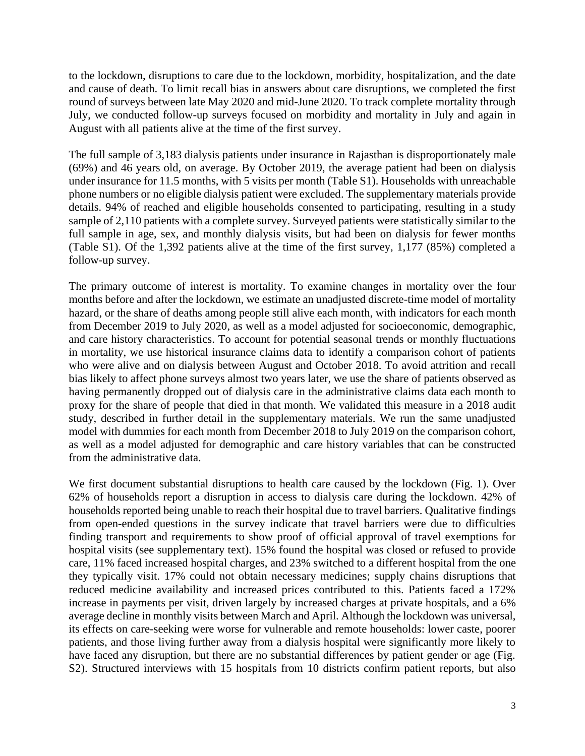to the lockdown, disruptions to care due to the lockdown, morbidity, hospitalization, and the date and cause of death. To limit recall bias in answers about care disruptions, we completed the first round of surveys between late May 2020 and mid-June 2020. To track complete mortality through July, we conducted follow-up surveys focused on morbidity and mortality in July and again in August with all patients alive at the time of the first survey.

The full sample of 3,183 dialysis patients under insurance in Rajasthan is disproportionately male (69%) and 46 years old, on average. By October 2019, the average patient had been on dialysis under insurance for 11.5 months, with 5 visits per month (Table S1). Households with unreachable phone numbers or no eligible dialysis patient were excluded. The supplementary materials provide details. 94% of reached and eligible households consented to participating, resulting in a study sample of 2,110 patients with a complete survey. Surveyed patients were statistically similar to the full sample in age, sex, and monthly dialysis visits, but had been on dialysis for fewer months (Table S1). Of the 1,392 patients alive at the time of the first survey, 1,177 (85%) completed a follow-up survey.

The primary outcome of interest is mortality. To examine changes in mortality over the four months before and after the lockdown, we estimate an unadjusted discrete-time model of mortality hazard, or the share of deaths among people still alive each month, with indicators for each month from December 2019 to July 2020, as well as a model adjusted for socioeconomic, demographic, and care history characteristics. To account for potential seasonal trends or monthly fluctuations in mortality, we use historical insurance claims data to identify a comparison cohort of patients who were alive and on dialysis between August and October 2018. To avoid attrition and recall bias likely to affect phone surveys almost two years later, we use the share of patients observed as having permanently dropped out of dialysis care in the administrative claims data each month to proxy for the share of people that died in that month. We validated this measure in a 2018 audit study, described in further detail in the supplementary materials. We run the same unadjusted model with dummies for each month from December 2018 to July 2019 on the comparison cohort, as well as a model adjusted for demographic and care history variables that can be constructed from the administrative data.

We first document substantial disruptions to health care caused by the lockdown (Fig. 1). Over 62% of households report a disruption in access to dialysis care during the lockdown. 42% of households reported being unable to reach their hospital due to travel barriers. Qualitative findings from open-ended questions in the survey indicate that travel barriers were due to difficulties finding transport and requirements to show proof of official approval of travel exemptions for hospital visits (see supplementary text). 15% found the hospital was closed or refused to provide care, 11% faced increased hospital charges, and 23% switched to a different hospital from the one they typically visit. 17% could not obtain necessary medicines; supply chains disruptions that reduced medicine availability and increased prices contributed to this. Patients faced a 172% increase in payments per visit, driven largely by increased charges at private hospitals, and a 6% average decline in monthly visits between March and April. Although the lockdown was universal, its effects on care-seeking were worse for vulnerable and remote households: lower caste, poorer patients, and those living further away from a dialysis hospital were significantly more likely to have faced any disruption, but there are no substantial differences by patient gender or age (Fig. S2). Structured interviews with 15 hospitals from 10 districts confirm patient reports, but also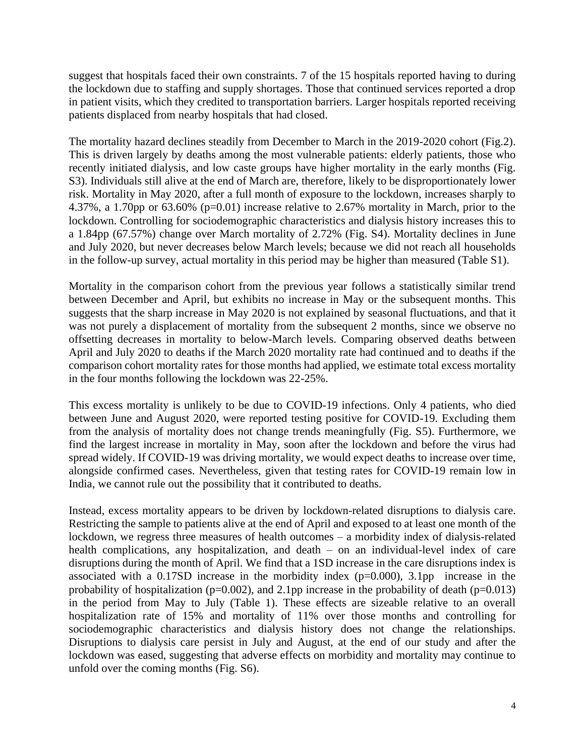suggest that hospitals faced their own constraints. 7 of the 15 hospitals reported having to during the lockdown due to staffing and supply shortages. Those that continued services reported a drop in patient visits, which they credited to transportation barriers. Larger hospitals reported receiving patients displaced from nearby hospitals that had closed.

The mortality hazard declines steadily from December to March in the 2019-2020 cohort (Fig.2). This is driven largely by deaths among the most vulnerable patients: elderly patients, those who recently initiated dialysis, and low caste groups have higher mortality in the early months (Fig. S3). Individuals still alive at the end of March are, therefore, likely to be disproportionately lower risk. Mortality in May 2020, after a full month of exposure to the lockdown, increases sharply to 4.37%, a 1.70pp or 63.60% (p=0.01) increase relative to 2.67% mortality in March, prior to the lockdown. Controlling for sociodemographic characteristics and dialysis history increases this to a 1.84pp (67.57%) change over March mortality of 2.72% (Fig. S4). Mortality declines in June and July 2020, but never decreases below March levels; because we did not reach all households in the follow-up survey, actual mortality in this period may be higher than measured (Table S1).

Mortality in the comparison cohort from the previous year follows a statistically similar trend between December and April, but exhibits no increase in May or the subsequent months. This suggests that the sharp increase in May 2020 is not explained by seasonal fluctuations, and that it was not purely a displacement of mortality from the subsequent 2 months, since we observe no offsetting decreases in mortality to below-March levels. Comparing observed deaths between April and July 2020 to deaths if the March 2020 mortality rate had continued and to deaths if the comparison cohort mortality rates for those months had applied, we estimate total excess mortality in the four months following the lockdown was 22-25%.

This excess mortality is unlikely to be due to COVID-19 infections. Only 4 patients, who died between June and August 2020, were reported testing positive for COVID-19. Excluding them from the analysis of mortality does not change trends meaningfully (Fig. S5). Furthermore, we find the largest increase in mortality in May, soon after the lockdown and before the virus had spread widely. If COVID-19 was driving mortality, we would expect deaths to increase over time, alongside confirmed cases. Nevertheless, given that testing rates for COVID-19 remain low in India, we cannot rule out the possibility that it contributed to deaths.

Instead, excess mortality appears to be driven by lockdown-related disruptions to dialysis care. Restricting the sample to patients alive at the end of April and exposed to at least one month of the lockdown, we regress three measures of health outcomes – a morbidity index of dialysis-related health complications, any hospitalization, and death – on an individual-level index of care disruptions during the month of April. We find that a 1SD increase in the care disruptions index is associated with a 0.17SD increase in the morbidity index (p=0.000), 3.1pp increase in the probability of hospitalization ( $p=0.002$ ), and 2.1pp increase in the probability of death ( $p=0.013$ ) in the period from May to July (Table 1). These effects are sizeable relative to an overall hospitalization rate of 15% and mortality of 11% over those months and controlling for sociodemographic characteristics and dialysis history does not change the relationships. Disruptions to dialysis care persist in July and August, at the end of our study and after the lockdown was eased, suggesting that adverse effects on morbidity and mortality may continue to unfold over the coming months (Fig. S6).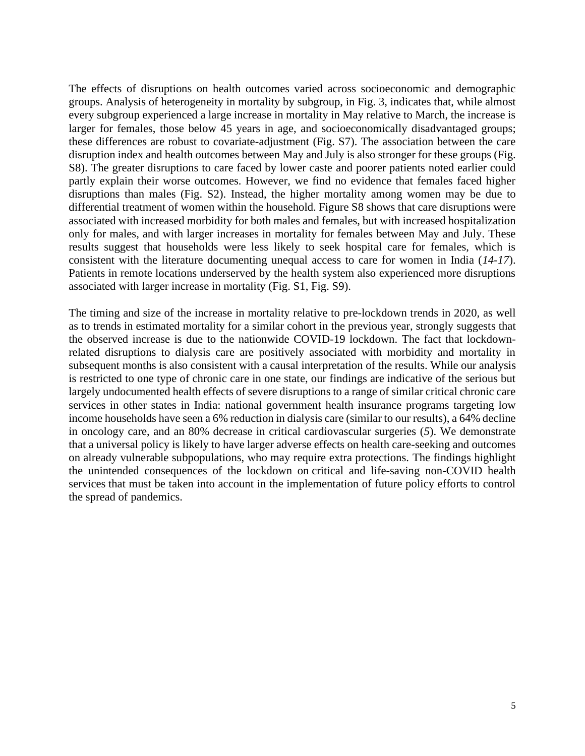The effects of disruptions on health outcomes varied across socioeconomic and demographic groups. Analysis of heterogeneity in mortality by subgroup, in Fig. 3, indicates that, while almost every subgroup experienced a large increase in mortality in May relative to March, the increase is larger for females, those below 45 years in age, and socioeconomically disadvantaged groups; these differences are robust to covariate-adjustment (Fig. S7). The association between the care disruption index and health outcomes between May and July is also stronger for these groups (Fig. S8). The greater disruptions to care faced by lower caste and poorer patients noted earlier could partly explain their worse outcomes. However, we find no evidence that females faced higher disruptions than males (Fig. S2). Instead, the higher mortality among women may be due to differential treatment of women within the household. Figure S8 shows that care disruptions were associated with increased morbidity for both males and females, but with increased hospitalization only for males, and with larger increases in mortality for females between May and July. These results suggest that households were less likely to seek hospital care for females, which is consistent with the literature documenting unequal access to care for women in India (*14-17*). Patients in remote locations underserved by the health system also experienced more disruptions associated with larger increase in mortality (Fig. S1, Fig. S9).

The timing and size of the increase in mortality relative to pre-lockdown trends in 2020, as well as to trends in estimated mortality for a similar cohort in the previous year, strongly suggests that the observed increase is due to the nationwide COVID-19 lockdown. The fact that lockdownrelated disruptions to dialysis care are positively associated with morbidity and mortality in subsequent months is also consistent with a causal interpretation of the results. While our analysis is restricted to one type of chronic care in one state, our findings are indicative of the serious but largely undocumented health effects of severe disruptions to a range of similar critical chronic care services in other states in India: national government health insurance programs targeting low income households have seen a 6% reduction in dialysis care (similar to our results), a 64% decline in oncology care, and an 80% decrease in critical cardiovascular surgeries (*5*). We demonstrate that a universal policy is likely to have larger adverse effects on health care-seeking and outcomes on already vulnerable subpopulations, who may require extra protections. The findings highlight the unintended consequences of the lockdown on critical and life-saving non-COVID health services that must be taken into account in the implementation of future policy efforts to control the spread of pandemics.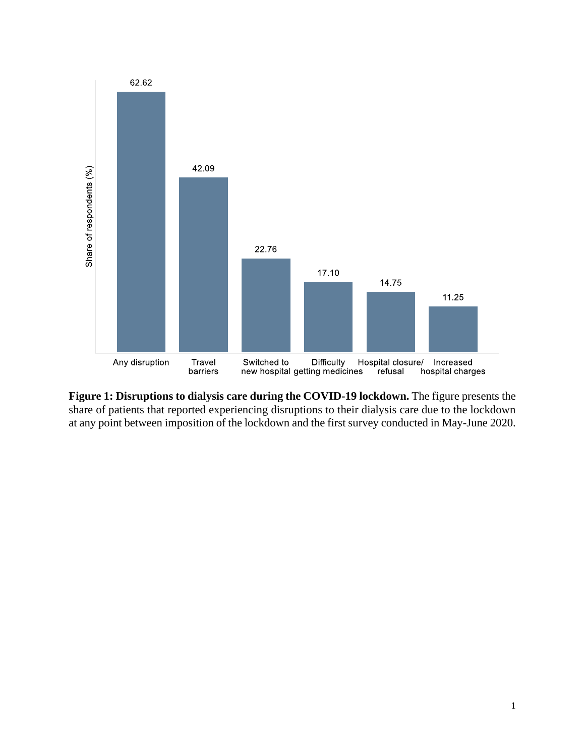

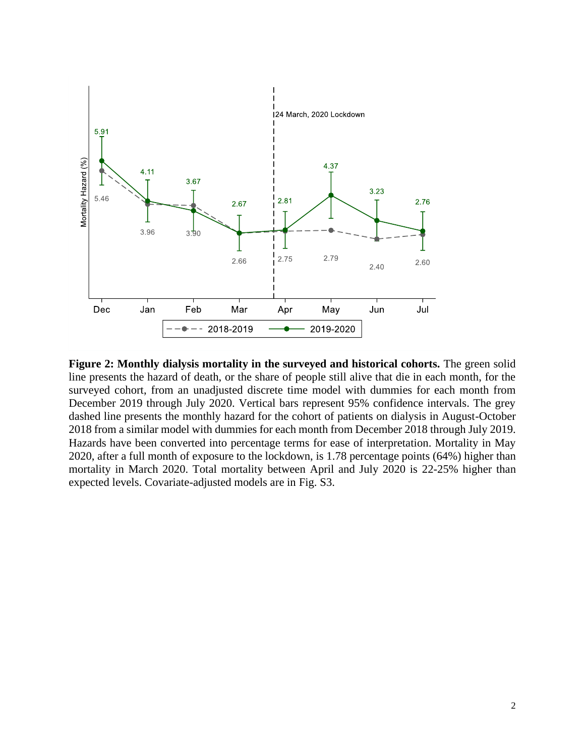

**Figure 2: Monthly dialysis mortality in the surveyed and historical cohorts.** The green solid line presents the hazard of death, or the share of people still alive that die in each month, for the surveyed cohort, from an unadjusted discrete time model with dummies for each month from December 2019 through July 2020. Vertical bars represent 95% confidence intervals. The grey dashed line presents the monthly hazard for the cohort of patients on dialysis in August-October 2018 from a similar model with dummies for each month from December 2018 through July 2019. Hazards have been converted into percentage terms for ease of interpretation. Mortality in May 2020, after a full month of exposure to the lockdown, is 1.78 percentage points (64%) higher than mortality in March 2020. Total mortality between April and July 2020 is 22-25% higher than expected levels. Covariate-adjusted models are in Fig. S3.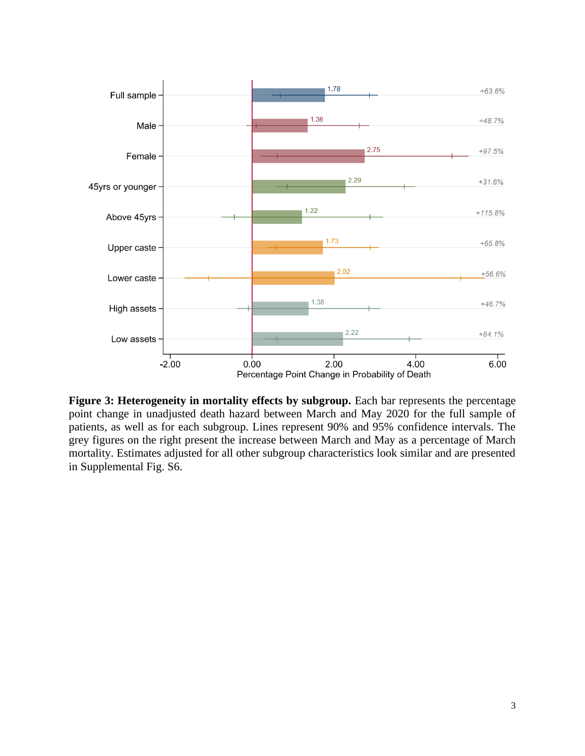

Figure 3: Heterogeneity in mortality effects by subgroup. Each bar represents the percentage point change in unadjusted death hazard between March and May 2020 for the full sample of patients, as well as for each subgroup. Lines represent 90% and 95% confidence intervals. The grey figures on the right present the increase between March and May as a percentage of March mortality. Estimates adjusted for all other subgroup characteristics look similar and are presented in Supplemental Fig. S6.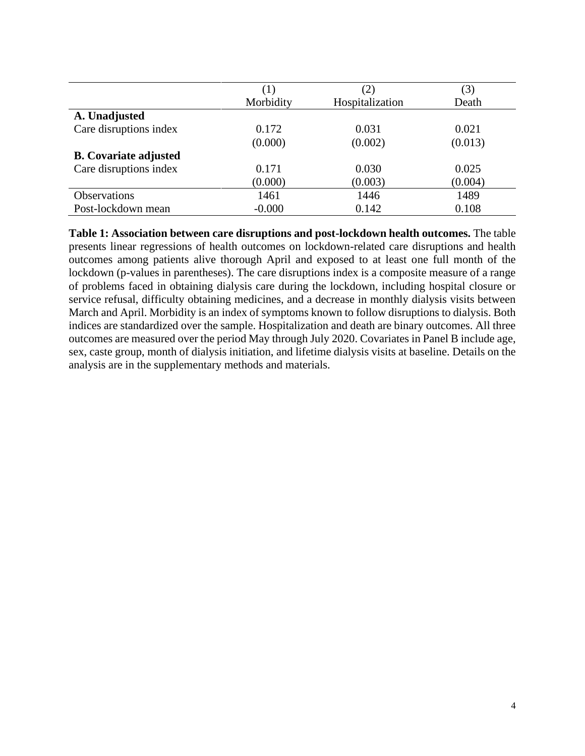|                              | $\perp$ . | (2)             | (3)     |
|------------------------------|-----------|-----------------|---------|
|                              | Morbidity | Hospitalization | Death   |
| A. Unadjusted                |           |                 |         |
| Care disruptions index       | 0.172     | 0.031           | 0.021   |
|                              | (0.000)   | (0.002)         | (0.013) |
| <b>B.</b> Covariate adjusted |           |                 |         |
| Care disruptions index       | 0.171     | 0.030           | 0.025   |
|                              | (0.000)   | (0.003)         | (0.004) |
| <b>Observations</b>          | 1461      | 1446            | 1489    |
| Post-lockdown mean           | $-0.000$  | 0.142           | 0.108   |

**Table 1: Association between care disruptions and post-lockdown health outcomes.** The table presents linear regressions of health outcomes on lockdown-related care disruptions and health outcomes among patients alive thorough April and exposed to at least one full month of the lockdown (p-values in parentheses). The care disruptions index is a composite measure of a range of problems faced in obtaining dialysis care during the lockdown, including hospital closure or service refusal, difficulty obtaining medicines, and a decrease in monthly dialysis visits between March and April. Morbidity is an index of symptoms known to follow disruptions to dialysis. Both indices are standardized over the sample. Hospitalization and death are binary outcomes. All three outcomes are measured over the period May through July 2020. Covariates in Panel B include age, sex, caste group, month of dialysis initiation, and lifetime dialysis visits at baseline. Details on the analysis are in the supplementary methods and materials.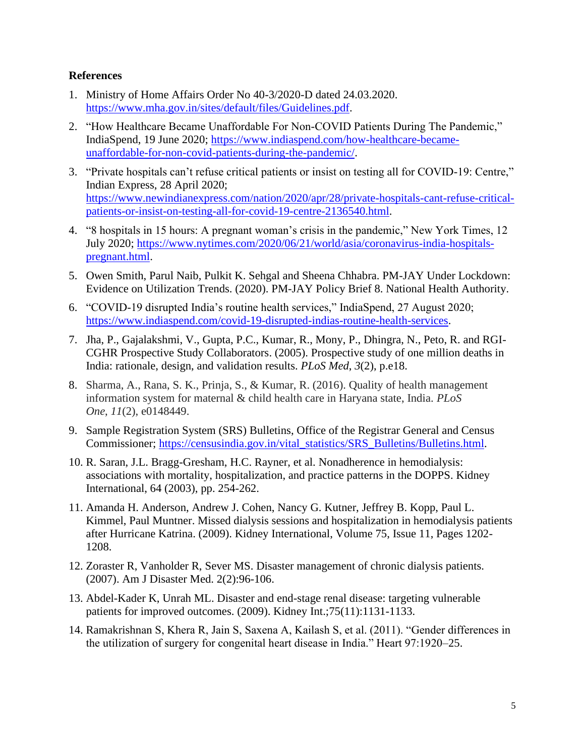## **References**

- 1. Ministry of Home Affairs Order No 40-3/2020-D dated 24.03.2020. [https://www.mha.gov.in/sites/default/files/Guidelines.pdf.](https://www.mha.gov.in/sites/default/files/Guidelines.pdf)
- 2. "How Healthcare Became Unaffordable For Non-COVID Patients During The Pandemic," IndiaSpend, 19 June 2020; [https://www.indiaspend.com/how-healthcare-became](https://www.indiaspend.com/how-healthcare-became-unaffordable-for-non-covid-patients-during-the-pandemic/)[unaffordable-for-non-covid-patients-during-the-pandemic/.](https://www.indiaspend.com/how-healthcare-became-unaffordable-for-non-covid-patients-during-the-pandemic/)
- 3. "Private hospitals can't refuse critical patients or insist on testing all for COVID-19: Centre," Indian Express, 28 April 2020; [https://www.newindianexpress.com/nation/2020/apr/28/private-hospitals-cant-refuse-critical](https://www.newindianexpress.com/nation/2020/apr/28/private-hospitals-cant-refuse-critical-patients-or-insist-on-testing-all-for-covid-19-centre-2136540.html)[patients-or-insist-on-testing-all-for-covid-19-centre-2136540.html.](https://www.newindianexpress.com/nation/2020/apr/28/private-hospitals-cant-refuse-critical-patients-or-insist-on-testing-all-for-covid-19-centre-2136540.html)
- 4. "8 hospitals in 15 hours: A pregnant woman's crisis in the pandemic," New York Times, 12 July 2020; [https://www.nytimes.com/2020/06/21/world/asia/coronavirus-india-hospitals](https://www.nytimes.com/2020/06/21/world/asia/coronavirus-india-hospitals-pregnant.html)[pregnant.html.](https://www.nytimes.com/2020/06/21/world/asia/coronavirus-india-hospitals-pregnant.html)
- 5. Owen Smith, Parul Naib, Pulkit K. Sehgal and Sheena Chhabra. PM-JAY Under Lockdown: Evidence on Utilization Trends. (2020). PM-JAY Policy Brief 8. National Health Authority.
- 6. "COVID-19 disrupted India's routine health services," IndiaSpend, 27 August 2020; [https://www.indiaspend.com/covid-19-disrupted-indias-routine-health-services.](https://www.indiaspend.com/covid-19-disrupted-indias-routine-health-services)
- 7. Jha, P., Gajalakshmi, V., Gupta, P.C., Kumar, R., Mony, P., Dhingra, N., Peto, R. and RGI-CGHR Prospective Study Collaborators. (2005). Prospective study of one million deaths in India: rationale, design, and validation results. *PLoS Med*, *3*(2), p.e18.
- 8. Sharma, A., Rana, S. K., Prinja, S., & Kumar, R. (2016). Quality of health management information system for maternal & child health care in Haryana state, India. *PLoS One*, *11*(2), e0148449.
- 9. Sample Registration System (SRS) Bulletins, Office of the Registrar General and Census Commissioner; [https://censusindia.gov.in/vital\\_statistics/SRS\\_Bulletins/Bulletins.html.](https://censusindia.gov.in/vital_statistics/SRS_Bulletins/Bulletins.html)
- 10. R. Saran, J.L. Bragg-Gresham, H.C. Rayner, et al. Nonadherence in hemodialysis: associations with mortality, hospitalization, and practice patterns in the DOPPS. Kidney International, 64 (2003), pp. 254-262.
- 11. Amanda H. Anderson, Andrew J. Cohen, Nancy G. Kutner, Jeffrey B. Kopp, Paul L. Kimmel, Paul Muntner. Missed dialysis sessions and hospitalization in hemodialysis patients after Hurricane Katrina. (2009). Kidney International, Volume 75, Issue 11, Pages 1202- 1208.
- 12. Zoraster R, Vanholder R, Sever MS. Disaster management of chronic dialysis patients. (2007). Am J Disaster Med. 2(2):96-106.
- 13. Abdel-Kader K, Unrah ML. Disaster and end-stage renal disease: targeting vulnerable patients for improved outcomes. (2009). Kidney Int.;75(11):1131-1133.
- 14. Ramakrishnan S, Khera R, Jain S, Saxena A, Kailash S, et al. (2011). "Gender differences in the utilization of surgery for congenital heart disease in India." Heart 97:1920–25.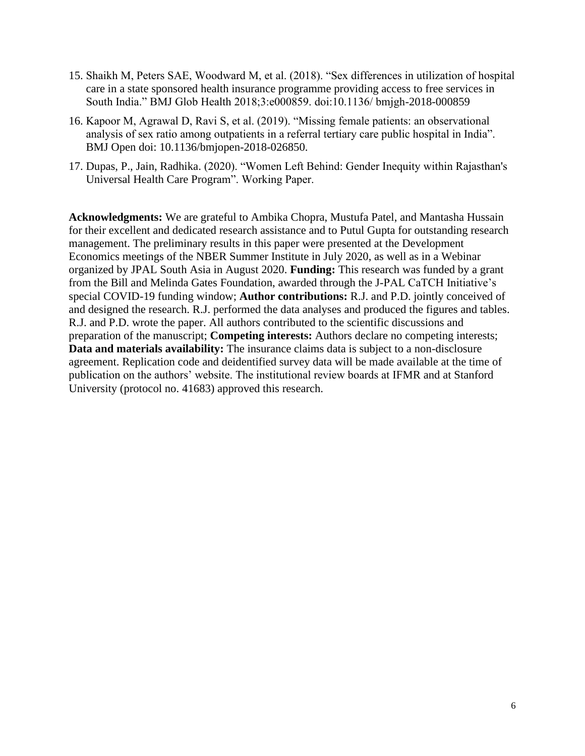- 15. Shaikh M, Peters SAE, Woodward M, et al. (2018). "Sex differences in utilization of hospital care in a state sponsored health insurance programme providing access to free services in South India." BMJ Glob Health 2018;3:e000859. doi:10.1136/ bmjgh-2018-000859
- 16. Kapoor M, Agrawal D, Ravi S, et al. (2019). "Missing female patients: an observational analysis of sex ratio among outpatients in a referral tertiary care public hospital in India". BMJ Open doi: 10.1136/bmjopen-2018-026850.
- 17. Dupas, P., Jain, Radhika. (2020). "Women Left Behind: Gender Inequity within Rajasthan's Universal Health Care Program". Working Paper.

**Acknowledgments:** We are grateful to Ambika Chopra, Mustufa Patel, and Mantasha Hussain for their excellent and dedicated research assistance and to Putul Gupta for outstanding research management. The preliminary results in this paper were presented at the Development Economics meetings of the NBER Summer Institute in July 2020, as well as in a Webinar organized by JPAL South Asia in August 2020. **Funding:** This research was funded by a grant from the Bill and Melinda Gates Foundation, awarded through the J-PAL CaTCH Initiative's special COVID-19 funding window; **Author contributions:** R.J. and P.D. jointly conceived of and designed the research. R.J. performed the data analyses and produced the figures and tables. R.J. and P.D. wrote the paper. All authors contributed to the scientific discussions and preparation of the manuscript; **Competing interests:** Authors declare no competing interests; **Data and materials availability:** The insurance claims data is subject to a non-disclosure agreement. Replication code and deidentified survey data will be made available at the time of publication on the authors' website. The institutional review boards at IFMR and at Stanford University (protocol no. 41683) approved this research.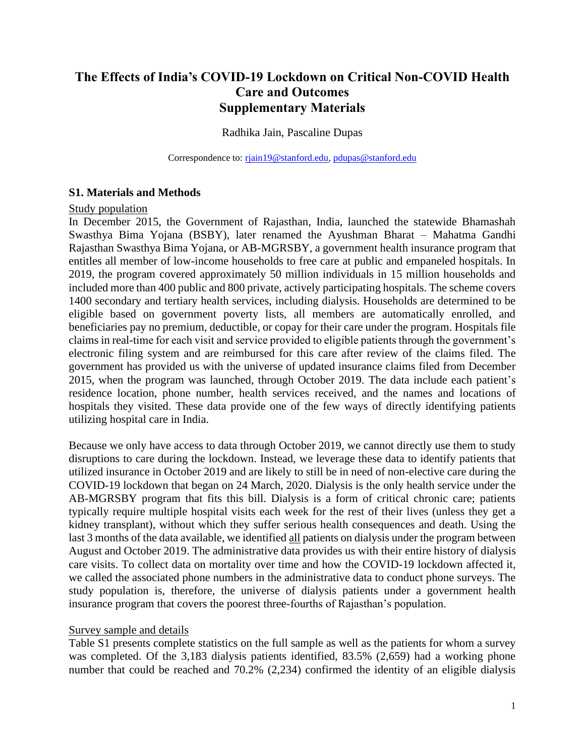## **The Effects of India's COVID-19 Lockdown on Critical Non-COVID Health Care and Outcomes Supplementary Materials**

## Radhika Jain, Pascaline Dupas

Correspondence to: rigin19@stanford.edu, [pdupas@stanford.edu](mailto:pdupas@stanford.edu)

## **S1. Materials and Methods**

## Study population

In December 2015, the Government of Rajasthan, India, launched the statewide Bhamashah Swasthya Bima Yojana (BSBY), later renamed the Ayushman Bharat – Mahatma Gandhi Rajasthan Swasthya Bima Yojana, or AB-MGRSBY, a government health insurance program that entitles all member of low-income households to free care at public and empaneled hospitals. In 2019, the program covered approximately 50 million individuals in 15 million households and included more than 400 public and 800 private, actively participating hospitals. The scheme covers 1400 secondary and tertiary health services, including dialysis. Households are determined to be eligible based on government poverty lists, all members are automatically enrolled, and beneficiaries pay no premium, deductible, or copay for their care under the program. Hospitals file claims in real-time for each visit and service provided to eligible patients through the government's electronic filing system and are reimbursed for this care after review of the claims filed. The government has provided us with the universe of updated insurance claims filed from December 2015, when the program was launched, through October 2019. The data include each patient's residence location, phone number, health services received, and the names and locations of hospitals they visited. These data provide one of the few ways of directly identifying patients utilizing hospital care in India.

Because we only have access to data through October 2019, we cannot directly use them to study disruptions to care during the lockdown. Instead, we leverage these data to identify patients that utilized insurance in October 2019 and are likely to still be in need of non-elective care during the COVID-19 lockdown that began on 24 March, 2020. Dialysis is the only health service under the AB-MGRSBY program that fits this bill. Dialysis is a form of critical chronic care; patients typically require multiple hospital visits each week for the rest of their lives (unless they get a kidney transplant), without which they suffer serious health consequences and death. Using the last 3 months of the data available, we identified all patients on dialysis under the program between August and October 2019. The administrative data provides us with their entire history of dialysis care visits. To collect data on mortality over time and how the COVID-19 lockdown affected it, we called the associated phone numbers in the administrative data to conduct phone surveys. The study population is, therefore, the universe of dialysis patients under a government health insurance program that covers the poorest three-fourths of Rajasthan's population.

## Survey sample and details

Table S1 presents complete statistics on the full sample as well as the patients for whom a survey was completed. Of the 3,183 dialysis patients identified, 83.5% (2,659) had a working phone number that could be reached and 70.2% (2,234) confirmed the identity of an eligible dialysis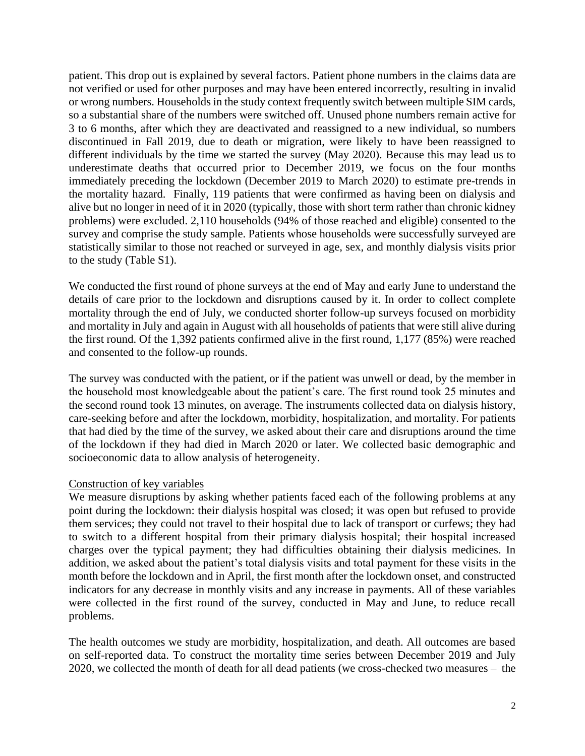patient. This drop out is explained by several factors. Patient phone numbers in the claims data are not verified or used for other purposes and may have been entered incorrectly, resulting in invalid or wrong numbers. Households in the study context frequently switch between multiple SIM cards, so a substantial share of the numbers were switched off. Unused phone numbers remain active for 3 to 6 months, after which they are deactivated and reassigned to a new individual, so numbers discontinued in Fall 2019, due to death or migration, were likely to have been reassigned to different individuals by the time we started the survey (May 2020). Because this may lead us to underestimate deaths that occurred prior to December 2019, we focus on the four months immediately preceding the lockdown (December 2019 to March 2020) to estimate pre-trends in the mortality hazard. Finally, 119 patients that were confirmed as having been on dialysis and alive but no longer in need of it in 2020 (typically, those with short term rather than chronic kidney problems) were excluded. 2,110 households (94% of those reached and eligible) consented to the survey and comprise the study sample. Patients whose households were successfully surveyed are statistically similar to those not reached or surveyed in age, sex, and monthly dialysis visits prior to the study (Table S1).

We conducted the first round of phone surveys at the end of May and early June to understand the details of care prior to the lockdown and disruptions caused by it. In order to collect complete mortality through the end of July, we conducted shorter follow-up surveys focused on morbidity and mortality in July and again in August with all households of patients that were still alive during the first round. Of the 1,392 patients confirmed alive in the first round, 1,177 (85%) were reached and consented to the follow-up rounds.

The survey was conducted with the patient, or if the patient was unwell or dead, by the member in the household most knowledgeable about the patient's care. The first round took 25 minutes and the second round took 13 minutes, on average. The instruments collected data on dialysis history, care-seeking before and after the lockdown, morbidity, hospitalization, and mortality. For patients that had died by the time of the survey, we asked about their care and disruptions around the time of the lockdown if they had died in March 2020 or later. We collected basic demographic and socioeconomic data to allow analysis of heterogeneity.

## Construction of key variables

We measure disruptions by asking whether patients faced each of the following problems at any point during the lockdown: their dialysis hospital was closed; it was open but refused to provide them services; they could not travel to their hospital due to lack of transport or curfews; they had to switch to a different hospital from their primary dialysis hospital; their hospital increased charges over the typical payment; they had difficulties obtaining their dialysis medicines. In addition, we asked about the patient's total dialysis visits and total payment for these visits in the month before the lockdown and in April, the first month after the lockdown onset, and constructed indicators for any decrease in monthly visits and any increase in payments. All of these variables were collected in the first round of the survey, conducted in May and June, to reduce recall problems.

The health outcomes we study are morbidity, hospitalization, and death. All outcomes are based on self-reported data. To construct the mortality time series between December 2019 and July 2020, we collected the month of death for all dead patients (we cross-checked two measures – the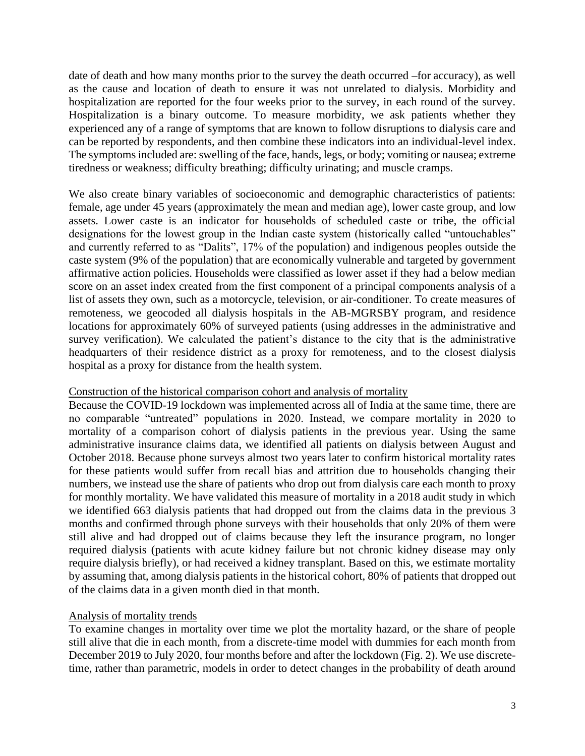date of death and how many months prior to the survey the death occurred –for accuracy), as well as the cause and location of death to ensure it was not unrelated to dialysis. Morbidity and hospitalization are reported for the four weeks prior to the survey, in each round of the survey. Hospitalization is a binary outcome. To measure morbidity, we ask patients whether they experienced any of a range of symptoms that are known to follow disruptions to dialysis care and can be reported by respondents, and then combine these indicators into an individual-level index. The symptoms included are: swelling of the face, hands, legs, or body; vomiting or nausea; extreme tiredness or weakness; difficulty breathing; difficulty urinating; and muscle cramps.

We also create binary variables of socioeconomic and demographic characteristics of patients: female, age under 45 years (approximately the mean and median age), lower caste group, and low assets. Lower caste is an indicator for households of scheduled caste or tribe, the official designations for the lowest group in the Indian caste system (historically called "untouchables" and currently referred to as "Dalits", 17% of the population) and indigenous peoples outside the caste system (9% of the population) that are economically vulnerable and targeted by government affirmative action policies. Households were classified as lower asset if they had a below median score on an asset index created from the first component of a principal components analysis of a list of assets they own, such as a motorcycle, television, or air-conditioner. To create measures of remoteness, we geocoded all dialysis hospitals in the AB-MGRSBY program, and residence locations for approximately 60% of surveyed patients (using addresses in the administrative and survey verification). We calculated the patient's distance to the city that is the administrative headquarters of their residence district as a proxy for remoteness, and to the closest dialysis hospital as a proxy for distance from the health system.

## Construction of the historical comparison cohort and analysis of mortality

Because the COVID-19 lockdown was implemented across all of India at the same time, there are no comparable "untreated" populations in 2020. Instead, we compare mortality in 2020 to mortality of a comparison cohort of dialysis patients in the previous year. Using the same administrative insurance claims data, we identified all patients on dialysis between August and October 2018. Because phone surveys almost two years later to confirm historical mortality rates for these patients would suffer from recall bias and attrition due to households changing their numbers, we instead use the share of patients who drop out from dialysis care each month to proxy for monthly mortality. We have validated this measure of mortality in a 2018 audit study in which we identified 663 dialysis patients that had dropped out from the claims data in the previous 3 months and confirmed through phone surveys with their households that only 20% of them were still alive and had dropped out of claims because they left the insurance program, no longer required dialysis (patients with acute kidney failure but not chronic kidney disease may only require dialysis briefly), or had received a kidney transplant. Based on this, we estimate mortality by assuming that, among dialysis patients in the historical cohort, 80% of patients that dropped out of the claims data in a given month died in that month.

## Analysis of mortality trends

To examine changes in mortality over time we plot the mortality hazard, or the share of people still alive that die in each month, from a discrete-time model with dummies for each month from December 2019 to July 2020, four months before and after the lockdown (Fig. 2). We use discretetime, rather than parametric, models in order to detect changes in the probability of death around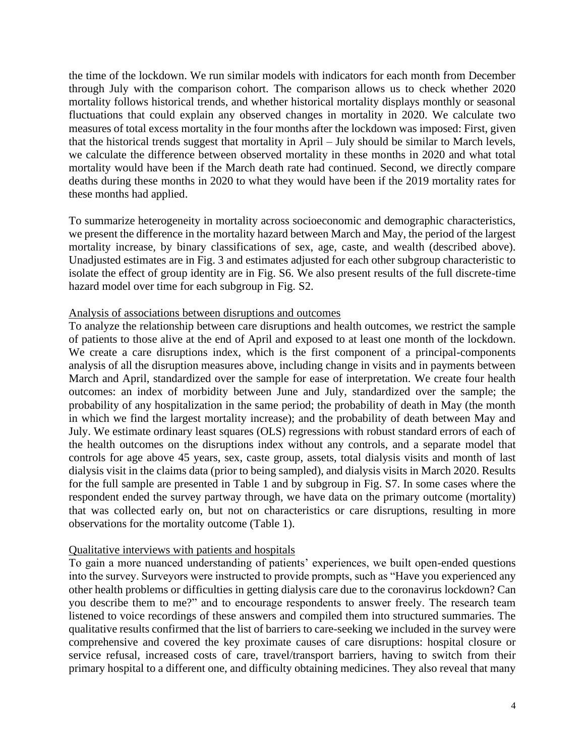the time of the lockdown. We run similar models with indicators for each month from December through July with the comparison cohort. The comparison allows us to check whether 2020 mortality follows historical trends, and whether historical mortality displays monthly or seasonal fluctuations that could explain any observed changes in mortality in 2020. We calculate two measures of total excess mortality in the four months after the lockdown was imposed: First, given that the historical trends suggest that mortality in April – July should be similar to March levels, we calculate the difference between observed mortality in these months in 2020 and what total mortality would have been if the March death rate had continued. Second, we directly compare deaths during these months in 2020 to what they would have been if the 2019 mortality rates for these months had applied.

To summarize heterogeneity in mortality across socioeconomic and demographic characteristics, we present the difference in the mortality hazard between March and May, the period of the largest mortality increase, by binary classifications of sex, age, caste, and wealth (described above). Unadjusted estimates are in Fig. 3 and estimates adjusted for each other subgroup characteristic to isolate the effect of group identity are in Fig. S6. We also present results of the full discrete-time hazard model over time for each subgroup in Fig. S2.

## Analysis of associations between disruptions and outcomes

To analyze the relationship between care disruptions and health outcomes, we restrict the sample of patients to those alive at the end of April and exposed to at least one month of the lockdown. We create a care disruptions index, which is the first component of a principal-components analysis of all the disruption measures above, including change in visits and in payments between March and April, standardized over the sample for ease of interpretation. We create four health outcomes: an index of morbidity between June and July, standardized over the sample; the probability of any hospitalization in the same period; the probability of death in May (the month in which we find the largest mortality increase); and the probability of death between May and July. We estimate ordinary least squares (OLS) regressions with robust standard errors of each of the health outcomes on the disruptions index without any controls, and a separate model that controls for age above 45 years, sex, caste group, assets, total dialysis visits and month of last dialysis visit in the claims data (prior to being sampled), and dialysis visits in March 2020. Results for the full sample are presented in Table 1 and by subgroup in Fig. S7. In some cases where the respondent ended the survey partway through, we have data on the primary outcome (mortality) that was collected early on, but not on characteristics or care disruptions, resulting in more observations for the mortality outcome (Table 1).

## Qualitative interviews with patients and hospitals

To gain a more nuanced understanding of patients' experiences, we built open-ended questions into the survey. Surveyors were instructed to provide prompts, such as "Have you experienced any other health problems or difficulties in getting dialysis care due to the coronavirus lockdown? Can you describe them to me?" and to encourage respondents to answer freely. The research team listened to voice recordings of these answers and compiled them into structured summaries. The qualitative results confirmed that the list of barriers to care-seeking we included in the survey were comprehensive and covered the key proximate causes of care disruptions: hospital closure or service refusal, increased costs of care, travel/transport barriers, having to switch from their primary hospital to a different one, and difficulty obtaining medicines. They also reveal that many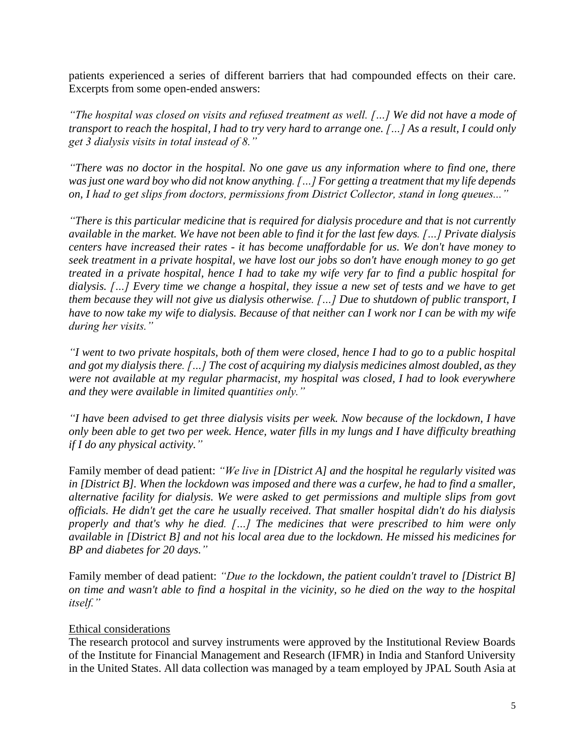patients experienced a series of different barriers that had compounded effects on their care. Excerpts from some open-ended answers:

*"The hospital was closed on visits and refused treatment as well. […] We did not have a mode of transport to reach the hospital, I had to try very hard to arrange one. […] As a result, I could only get 3 dialysis visits in total instead of 8."*

*"There was no doctor in the hospital. No one gave us any information where to find one, there was just one ward boy who did not know anything. […] For getting a treatment that my life depends on, I had to get slips from doctors, permissions from District Collector, stand in long queues..."*

*"There is this particular medicine that is required for dialysis procedure and that is not currently available in the market. We have not been able to find it for the last few days. […] Private dialysis centers have increased their rates - it has become unaffordable for us. We don't have money to seek treatment in a private hospital, we have lost our jobs so don't have enough money to go get treated in a private hospital, hence I had to take my wife very far to find a public hospital for dialysis. […] Every time we change a hospital, they issue a new set of tests and we have to get them because they will not give us dialysis otherwise. […] Due to shutdown of public transport, I have to now take my wife to dialysis. Because of that neither can I work nor I can be with my wife during her visits."*

*"I went to two private hospitals, both of them were closed, hence I had to go to a public hospital and got my dialysis there. […] The cost of acquiring my dialysis medicines almost doubled, as they were not available at my regular pharmacist, my hospital was closed, I had to look everywhere and they were available in limited quantities only."*

*"I have been advised to get three dialysis visits per week. Now because of the lockdown, I have only been able to get two per week. Hence, water fills in my lungs and I have difficulty breathing if I do any physical activity."*

Family member of dead patient: *"We live in [District A] and the hospital he regularly visited was in [District B]. When the lockdown was imposed and there was a curfew, he had to find a smaller, alternative facility for dialysis. We were asked to get permissions and multiple slips from govt officials. He didn't get the care he usually received. That smaller hospital didn't do his dialysis properly and that's why he died. […] The medicines that were prescribed to him were only available in [District B] and not his local area due to the lockdown. He missed his medicines for BP and diabetes for 20 days."*

Family member of dead patient: *"Due to the lockdown, the patient couldn't travel to [District B] on time and wasn't able to find a hospital in the vicinity, so he died on the way to the hospital itself."*

## Ethical considerations

The research protocol and survey instruments were approved by the Institutional Review Boards of the Institute for Financial Management and Research (IFMR) in India and Stanford University in the United States. All data collection was managed by a team employed by JPAL South Asia at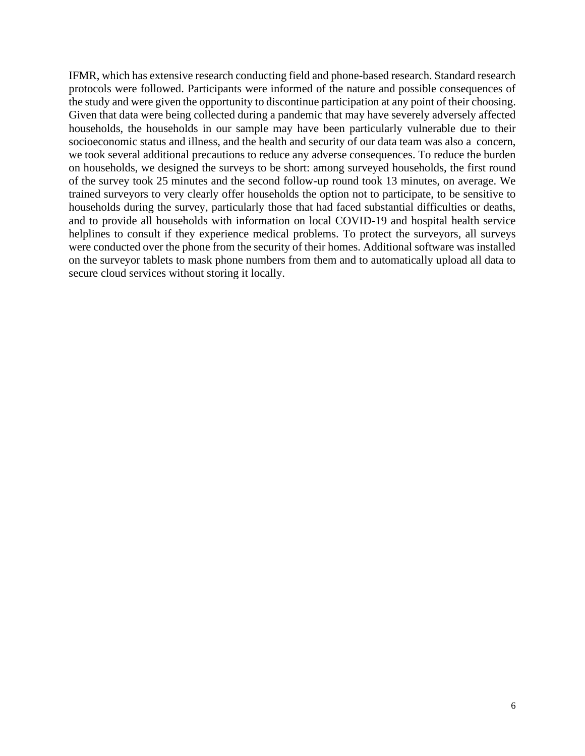IFMR, which has extensive research conducting field and phone-based research. Standard research protocols were followed. Participants were informed of the nature and possible consequences of the study and were given the opportunity to discontinue participation at any point of their choosing. Given that data were being collected during a pandemic that may have severely adversely affected households, the households in our sample may have been particularly vulnerable due to their socioeconomic status and illness, and the health and security of our data team was also a concern, we took several additional precautions to reduce any adverse consequences. To reduce the burden on households, we designed the surveys to be short: among surveyed households, the first round of the survey took 25 minutes and the second follow-up round took 13 minutes, on average. We trained surveyors to very clearly offer households the option not to participate, to be sensitive to households during the survey, particularly those that had faced substantial difficulties or deaths, and to provide all households with information on local COVID-19 and hospital health service helplines to consult if they experience medical problems. To protect the surveyors, all surveys were conducted over the phone from the security of their homes. Additional software was installed on the surveyor tablets to mask phone numbers from them and to automatically upload all data to secure cloud services without storing it locally.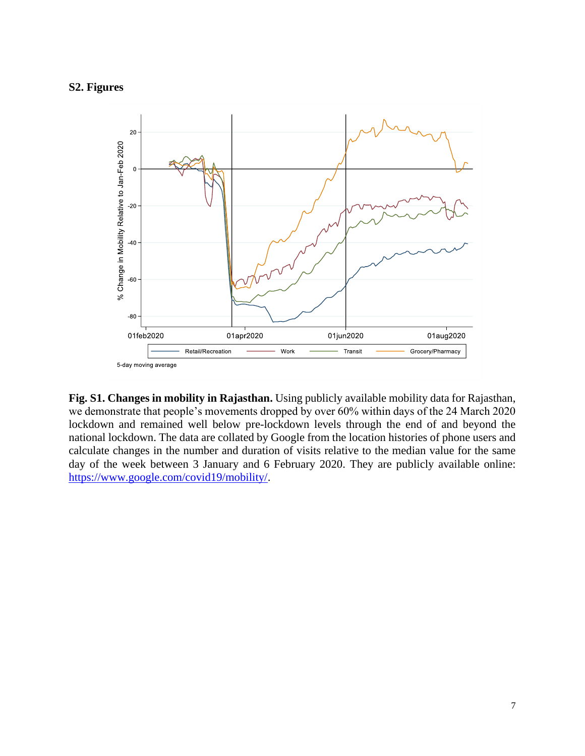## **S2. Figures**



**Fig. S1. Changes in mobility in Rajasthan.** Using publicly available mobility data for Rajasthan, we demonstrate that people's movements dropped by over 60% within days of the 24 March 2020 lockdown and remained well below pre-lockdown levels through the end of and beyond the national lockdown. The data are collated by Google from the location histories of phone users and calculate changes in the number and duration of visits relative to the median value for the same day of the week between 3 January and 6 February 2020. They are publicly available online: [https://www.google.com/covid19/mobility/.](https://www.google.com/covid19/mobility/)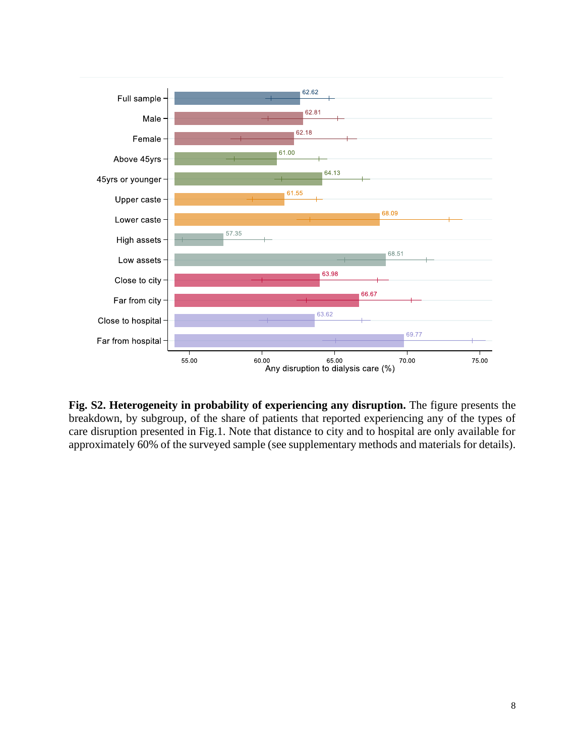

**Fig. S2. Heterogeneity in probability of experiencing any disruption.** The figure presents the breakdown, by subgroup, of the share of patients that reported experiencing any of the types of care disruption presented in Fig.1. Note that distance to city and to hospital are only available for approximately 60% of the surveyed sample (see supplementary methods and materials for details).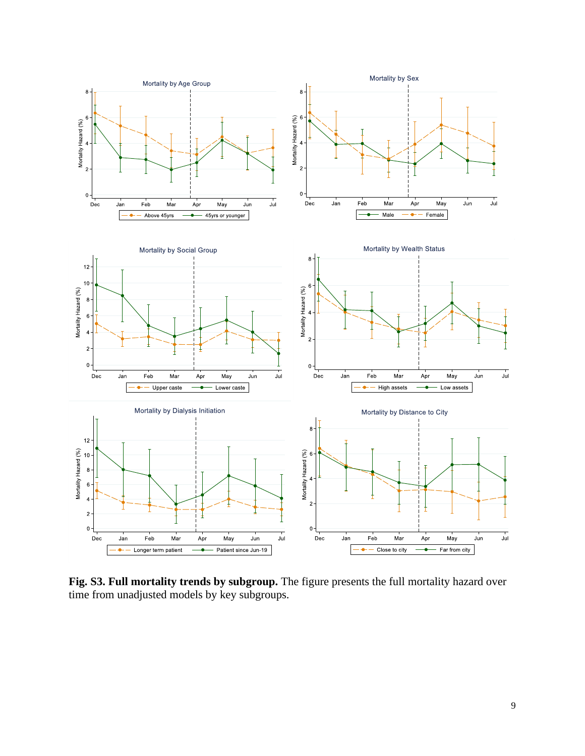

Fig. S3. Full mortality trends by subgroup. The figure presents the full mortality hazard over time from unadjusted models by key subgroups.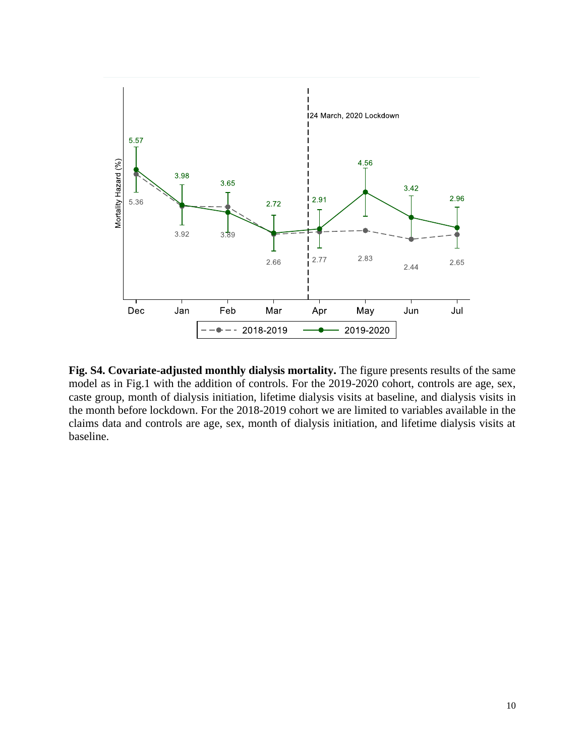

**Fig. S4. Covariate-adjusted monthly dialysis mortality.** The figure presents results of the same model as in Fig.1 with the addition of controls. For the 2019-2020 cohort, controls are age, sex, caste group, month of dialysis initiation, lifetime dialysis visits at baseline, and dialysis visits in the month before lockdown. For the 2018-2019 cohort we are limited to variables available in the claims data and controls are age, sex, month of dialysis initiation, and lifetime dialysis visits at baseline.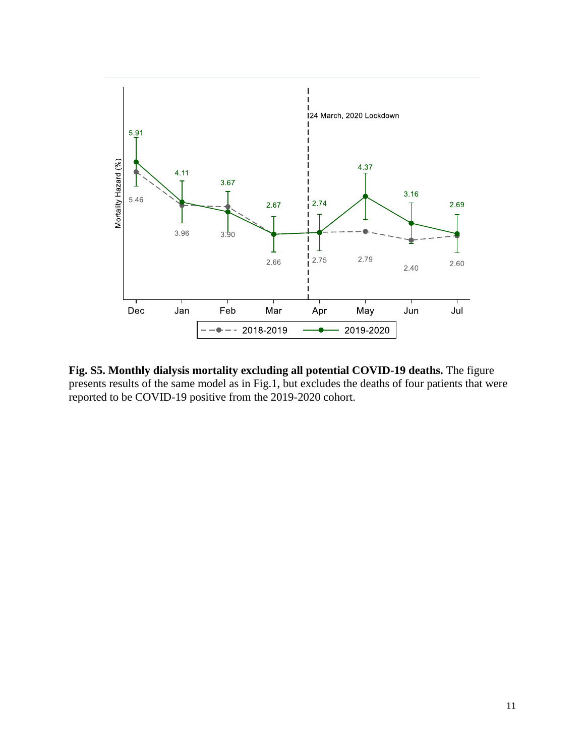

**Fig. S5. Monthly dialysis mortality excluding all potential COVID-19 deaths.** The figure presents results of the same model as in Fig.1, but excludes the deaths of four patients that were reported to be COVID-19 positive from the 2019-2020 cohort.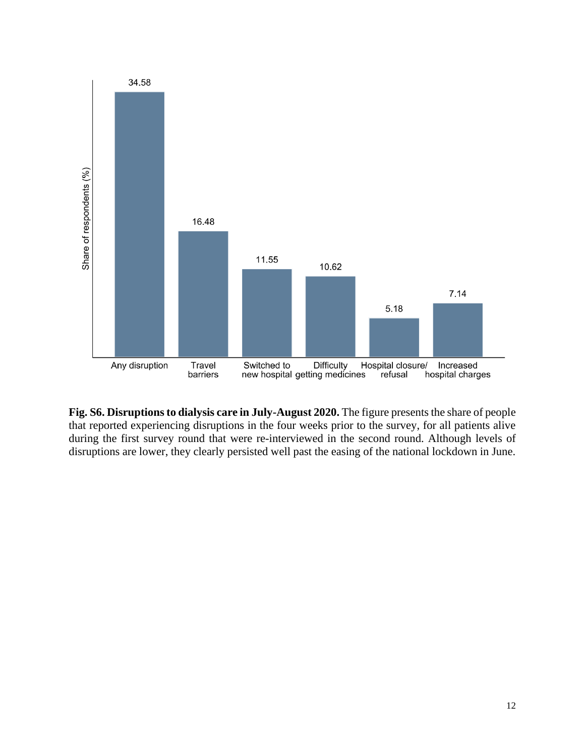

**Fig. S6. Disruptions to dialysis care in July-August 2020.** The figure presents the share of people that reported experiencing disruptions in the four weeks prior to the survey, for all patients alive during the first survey round that were re-interviewed in the second round. Although levels of disruptions are lower, they clearly persisted well past the easing of the national lockdown in June.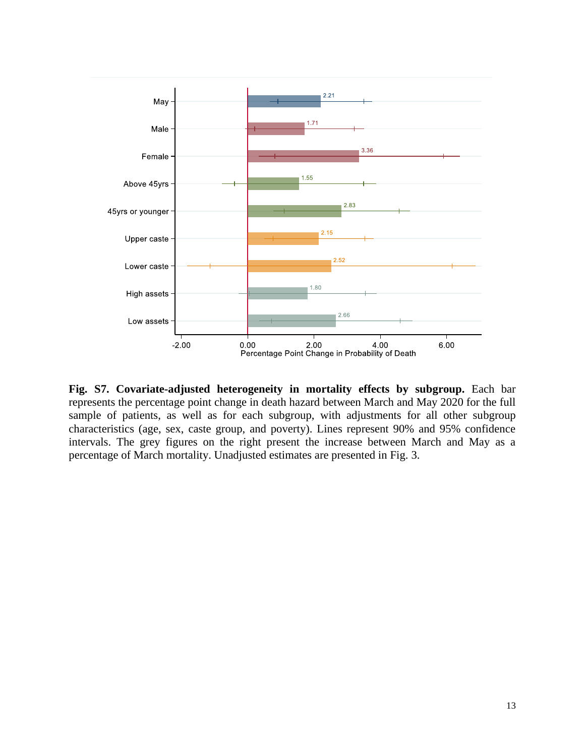

**Fig. S7. Covariate-adjusted heterogeneity in mortality effects by subgroup.** Each bar represents the percentage point change in death hazard between March and May 2020 for the full sample of patients, as well as for each subgroup, with adjustments for all other subgroup characteristics (age, sex, caste group, and poverty). Lines represent 90% and 95% confidence intervals. The grey figures on the right present the increase between March and May as a percentage of March mortality. Unadjusted estimates are presented in Fig. 3.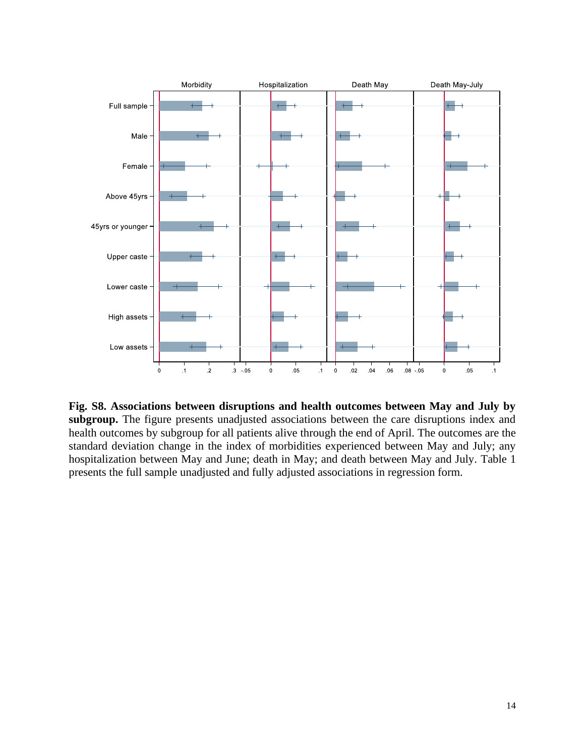

**Fig. S8. Associations between disruptions and health outcomes between May and July by subgroup.** The figure presents unadjusted associations between the care disruptions index and health outcomes by subgroup for all patients alive through the end of April. The outcomes are the standard deviation change in the index of morbidities experienced between May and July; any hospitalization between May and June; death in May; and death between May and July. Table 1 presents the full sample unadjusted and fully adjusted associations in regression form.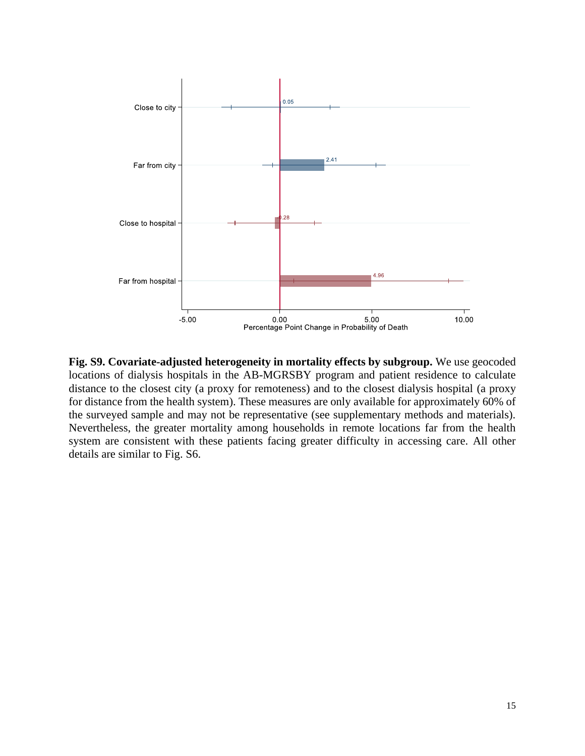

**Fig. S9. Covariate-adjusted heterogeneity in mortality effects by subgroup.** We use geocoded locations of dialysis hospitals in the AB-MGRSBY program and patient residence to calculate distance to the closest city (a proxy for remoteness) and to the closest dialysis hospital (a proxy for distance from the health system). These measures are only available for approximately 60% of the surveyed sample and may not be representative (see supplementary methods and materials). Nevertheless, the greater mortality among households in remote locations far from the health system are consistent with these patients facing greater difficulty in accessing care. All other details are similar to Fig. S6.